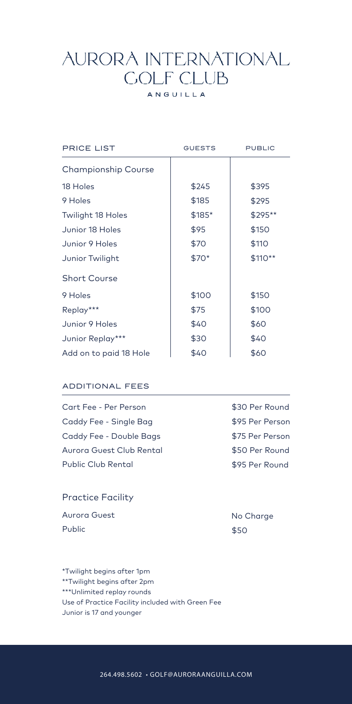## **AURORA INTERNATIONAL COLF CLUB**

## ANGUILLA

| <b>PRICE LIST</b>          | <b>GUESTS</b> | <b>PUBLIC</b> |
|----------------------------|---------------|---------------|
| <b>Championship Course</b> |               |               |
| 18 Holes                   | \$245         | \$395         |
| 9 Holes                    | \$185         | \$295         |
| <b>Twilight 18 Holes</b>   | \$185*        | \$295**       |
| Junior 18 Holes            | \$95          | \$150         |
| Junior 9 Holes             | \$70          | \$110         |
| Junior Twilight            | \$70*         | \$110**       |
| <b>Short Course</b>        |               |               |
| 9 Holes                    | \$100         | \$150         |
| Replay***                  | \$75          | \$100         |
| Junior 9 Holes             | \$40          | \$60          |
| Junior Replay***           | \$30          | \$40          |
| Add on to paid 18 Hole     | \$40          | \$60          |

### ADDITIONAL FEES

| Cart Fee - Per Person    | \$30 Per Round  |
|--------------------------|-----------------|
| Caddy Fee - Single Bag   | \$95 Per Person |
| Caddy Fee - Double Bags  | \$75 Per Person |
| Aurora Guest Club Rental | \$50 Per Round  |
| Public Club Rental       | \$95 Per Round  |
|                          |                 |

## Practice Facility

| Aurora Guest |  |
|--------------|--|
| Public       |  |

No Charge \$50

\*Twilight begins after 1pm \*\*Twilight begins after 2pm \*\*\*Unlimited replay rounds Use of Practice Facility included with Green Fee Junior is 17 and younger